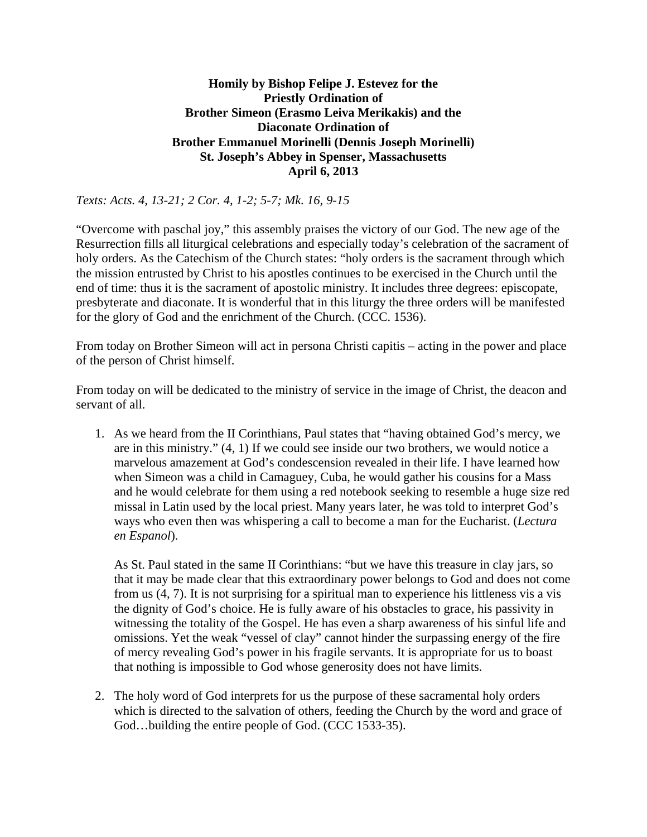## **Homily by Bishop Felipe J. Estevez for the Priestly Ordination of Brother Simeon (Erasmo Leiva Merikakis) and the Diaconate Ordination of Brother Emmanuel Morinelli (Dennis Joseph Morinelli) St. Joseph's Abbey in Spenser, Massachusetts April 6, 2013**

## *Texts: Acts. 4, 13-21; 2 Cor. 4, 1-2; 5-7; Mk. 16, 9-15*

"Overcome with paschal joy," this assembly praises the victory of our God. The new age of the Resurrection fills all liturgical celebrations and especially today's celebration of the sacrament of holy orders. As the Catechism of the Church states: "holy orders is the sacrament through which the mission entrusted by Christ to his apostles continues to be exercised in the Church until the end of time: thus it is the sacrament of apostolic ministry. It includes three degrees: episcopate, presbyterate and diaconate. It is wonderful that in this liturgy the three orders will be manifested for the glory of God and the enrichment of the Church. (CCC. 1536).

From today on Brother Simeon will act in persona Christi capitis – acting in the power and place of the person of Christ himself.

From today on will be dedicated to the ministry of service in the image of Christ, the deacon and servant of all.

1. As we heard from the II Corinthians, Paul states that "having obtained God's mercy, we are in this ministry." (4, 1) If we could see inside our two brothers, we would notice a marvelous amazement at God's condescension revealed in their life. I have learned how when Simeon was a child in Camaguey, Cuba, he would gather his cousins for a Mass and he would celebrate for them using a red notebook seeking to resemble a huge size red missal in Latin used by the local priest. Many years later, he was told to interpret God's ways who even then was whispering a call to become a man for the Eucharist. (*Lectura en Espanol*).

As St. Paul stated in the same II Corinthians: "but we have this treasure in clay jars, so that it may be made clear that this extraordinary power belongs to God and does not come from us (4, 7). It is not surprising for a spiritual man to experience his littleness vis a vis the dignity of God's choice. He is fully aware of his obstacles to grace, his passivity in witnessing the totality of the Gospel. He has even a sharp awareness of his sinful life and omissions. Yet the weak "vessel of clay" cannot hinder the surpassing energy of the fire of mercy revealing God's power in his fragile servants. It is appropriate for us to boast that nothing is impossible to God whose generosity does not have limits.

2. The holy word of God interprets for us the purpose of these sacramental holy orders which is directed to the salvation of others, feeding the Church by the word and grace of God…building the entire people of God. (CCC 1533-35).